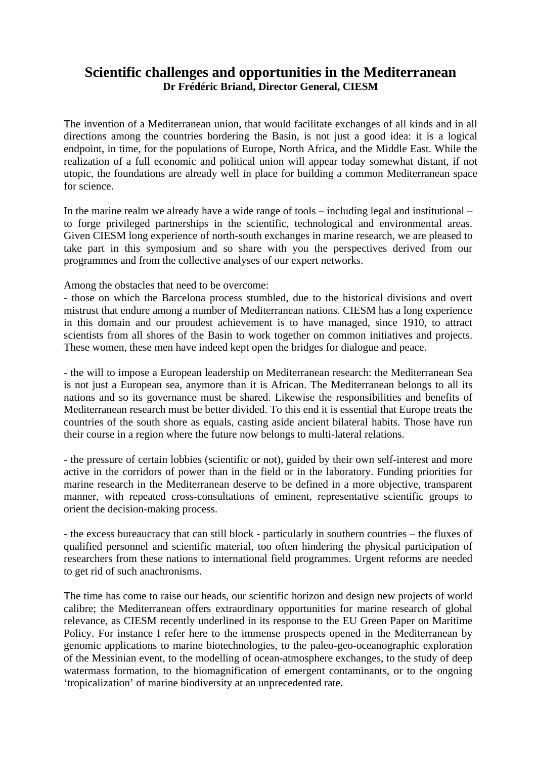## **Scientific challenges and opportunities in the Mediterranean Dr Frédéric Briand, Director General, CIESM**

The invention of a Mediterranean union, that would facilitate exchanges of all kinds and in all directions among the countries bordering the Basin, is not just a good idea: it is a logical endpoint, in time, for the populations of Europe, North Africa, and the Middle East. While the realization of a full economic and political union will appear today somewhat distant, if not utopic, the foundations are already well in place for building a common Mediterranean space for science.

In the marine realm we already have a wide range of tools – including legal and institutional – to forge privileged partnerships in the scientific, technological and environmental areas. Given CIESM long experience of north-south exchanges in marine research, we are pleased to take part in this symposium and so share with you the perspectives derived from our programmes and from the collective analyses of our expert networks.

Among the obstacles that need to be overcome:

- those on which the Barcelona process stumbled, due to the historical divisions and overt mistrust that endure among a number of Mediterranean nations. CIESM has a long experience in this domain and our proudest achievement is to have managed, since 1910, to attract scientists from all shores of the Basin to work together on common initiatives and projects. These women, these men have indeed kept open the bridges for dialogue and peace.

- the will to impose a European leadership on Mediterranean research: the Mediterranean Sea is not just a European sea, anymore than it is African. The Mediterranean belongs to all its nations and so its governance must be shared. Likewise the responsibilities and benefits of Mediterranean research must be better divided. To this end it is essential that Europe treats the countries of the south shore as equals, casting aside ancient bilateral habits. Those have run their course in a region where the future now belongs to multi-lateral relations.

- the pressure of certain lobbies (scientific or not), guided by their own self-interest and more active in the corridors of power than in the field or in the laboratory. Funding priorities for marine research in the Mediterranean deserve to be defined in a more objective, transparent manner, with repeated cross-consultations of eminent, representative scientific groups to orient the decision-making process.

- the excess bureaucracy that can still block - particularly in southern countries – the fluxes of qualified personnel and scientific material, too often hindering the physical participation of researchers from these nations to international field programmes. Urgent reforms are needed to get rid of such anachronisms.

The time has come to raise our heads, our scientific horizon and design new projects of world calibre; the Mediterranean offers extraordinary opportunities for marine research of global relevance, as CIESM recently underlined in its response to the EU Green Paper on Maritime Policy. For instance I refer here to the immense prospects opened in the Mediterranean by genomic applications to marine biotechnologies, to the paleo-geo-oceanographic exploration of the Messinian event, to the modelling of ocean-atmosphere exchanges, to the study of deep watermass formation, to the biomagnification of emergent contaminants, or to the ongoing 'tropicalization' of marine biodiversity at an unprecedented rate.